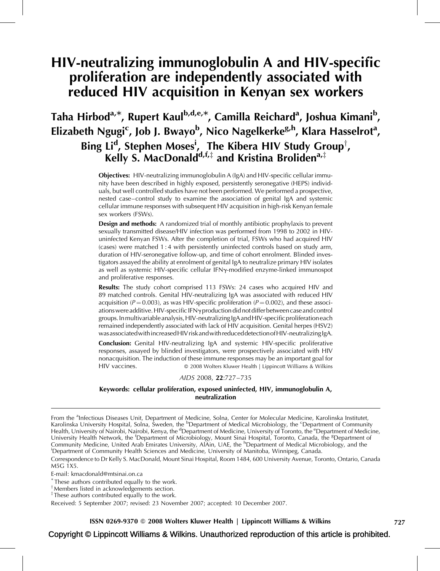# HIV-neutralizing immunoglobulin A and HIV-specific proliferation are independently associated with reduced HIV acquisition in Kenyan sex workers

# Taha Hirbod<sup>a,\*</sup>, Rupert Kaul<sup>b,d,e,\*</sup>, Camilla Reichard<sup>a</sup>, Joshua Kimani<sup>b</sup>, Elizabeth Ngugi<sup>c</sup>, Job J. Bwayo<sup>b</sup>, Nico Nagelkerke<sup>g,h</sup>, Klara Hasselrot<sup>a</sup>, Bing Li<sup>d</sup>, Stephen Moses<sup>i</sup>, The Kibera HIV Study Group<sup>†</sup>, Kelly S. MacDonald<sup>d,f,‡</sup> and Kristina Broliden<sup>a,‡</sup>

Objectives: HIV-neutralizing immunoglobulin A (IgA) and HIV-specific cellular immunity have been described in highly exposed, persistently seronegative (HEPS) individuals, but well controlled studies have not been performed. We performed a prospective, nested case–control study to examine the association of genital IgA and systemic cellular immune responses with subsequent HIV acquisition in high-risk Kenyan female sex workers (FSWs).

Design and methods: A randomized trial of monthly antibiotic prophylaxis to prevent sexually transmitted disease/HIV infection was performed from 1998 to 2002 in HIVuninfected Kenyan FSWs. After the completion of trial, FSWs who had acquired HIV (cases) were matched 1 : 4 with persistently uninfected controls based on study arm, duration of HIV-seronegative follow-up, and time of cohort enrolment. Blinded investigators assayed the ability at enrolment of genital IgA to neutralize primary HIV isolates as well as systemic HIV-specific cellular IFNy-modified enzyme-linked immunospot and proliferative responses.

Results: The study cohort comprised 113 FSWs: 24 cases who acquired HIV and 89 matched controls. Genital HIV-neutralizing IgA was associated with reduced HIV acquisition ( $P = 0.003$ ), as was HIV-specific proliferation ( $P = 0.002$ ), and these associations were additive. HIV-specific IFN $\gamma$  production did not differ between case and control groups.Inmultivariable analysis,HIV-neutralizingIgA andHIV-specific proliferation each remained independently associated with lack of HIV acquisition. Genital herpes (HSV2) was associatedwithincreasedHIV riskandwith reduceddetectionofHIV-neutralizingIgA.

Conclusion: Genital HIV-neutralizing IgA and systemic HIV-specific proliferative responses, assayed by blinded investigators, were prospectively associated with HIV nonacquisition. The induction of these immune responses may be an important goal for HIV vaccines. **2008 Wolters Kluwer Health | Lippincott Williams & Wilkins** 

## AIDS 2008, 22:727–735

## Keywords: cellular proliferation, exposed uninfected, HIV, immunoglobulin A, neutralization

From the <sup>a</sup>Infectious Diseases Unit, Department of Medicine, Solna, Center for Molecular Medicine, Karolinska Institutet, Karolinska University Hospital, Solna, Sweden, the <sup>b</sup>Department of Medical Microbiology, the <sup>c</sup>Department of Community Health, University of Nairobi, Nairobi, Kenya, the <sup>d</sup>Department of Medicine, University of Toronto, the <sup>e</sup>Department of Medicine, University Health Network, the <sup>f</sup>Department of Microbiology, Mount Sinai Hospital, Toronto, Canada, the <sup>8</sup>Department of Community Medicine, United Arab Emirates University, AlAin, UAE, the <sup>h</sup>Department of Medical Microbiology, and the<br><sup>i</sup>Department of Community Health Sciences and Medicine, University of Manitoba, Winnipeg, Capada Department of Community Health Sciences and Medicine, University of Manitoba, Winnipeg, Canada.

Correspondence to Dr Kelly S. MacDonald, Mount Sinai Hospital, Room 1484, 600 University Avenue, Toronto, Ontario, Canada M5G 1X5.

E-mail: [kmacdonald@mtsinai.on.ca](mailto:kmacdonald@mtsinai.on.ca)

\* These authors contributed equally to the work.

y Members listed in acknowledgements section.

 $\overline{a}$  These authors contributed equally to the work.

Received: 5 September 2007; revised: 23 November 2007; accepted: 10 December 2007.

ISSN 0269-9370 Q 2008 Wolters Kluwer Health | Lippincott Williams & Wilkins 727

Copyright © Lippincott Williams & Wilkins. Unauthorized reproduction of this article is prohibited.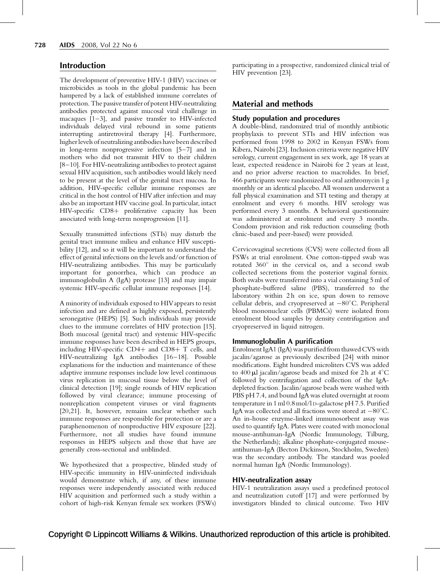# Introduction

The development of preventive HIV-1 (HIV) vaccines or microbicides as tools in the global pandemic has been hampered by a lack of established immune correlates of protection. The passive transferof potent HIV-neutralizing antibodies protected against mucosal viral challenge in macaques [\[1–3\],](#page-7-0) and passive transfer to HIV-infected individuals delayed viral rebound in some patients interrupting antiretroviral therapy [\[4\].](#page-7-0) Furthermore, higher levels of neutralizing antibodies have been described in long-term nonprogressive infection [\[5–7\]](#page-7-0) and in mothers who did not transmit HIV to their children [\[8–10\].](#page-7-0) For HIV-neutralizing antibodies to protect against sexual HIV acquisition, such antibodies would likely need to be present at the level of the genital tract mucosa. In addition, HIV-specific cellular immune responses are critical in the host control of HIVafter infection and may also be an important HIV vaccine goal. In particular, intact  $HIV-specific$   $CD8+$  proliferative capacity has been associated with long-term nonprogression [\[11\].](#page-7-0)

Sexually transmitted infections (STIs) may disturb the genital tract immune milieu and enhance HIV susceptibility [\[12\]](#page-7-0), and so it will be important to understand the effect of genital infections on the levels and/or function of HIV-neutralizing antibodies. This may be particularly important for gonorrhea, which can produce an immunoglobulin A (IgA) protease [\[13\]](#page-7-0) and may impair systemic HIV-specific cellular immune responses [\[14\]](#page-7-0).

A minority of individuals exposed to HIVappears to resist infection and are defined as highly exposed, persistently seronegative (HEPS) [\[5\]](#page-7-0). Such individuals may provide clues to the immune correlates of HIV protection [\[15\]](#page-7-0). Both mucosal (genital tract) and systemic HIV-specific immune responses have been described in HEPS groups, including HIV-specific  $CD4+$  and  $CD8+$  T cells, and HIV-neutralizing IgA antibodies [\[16–18\].](#page-7-0) Possible explanations for the induction and maintenance of these adaptive immune responses include low level continuous virus replication in mucosal tissue below the level of clinical detection [\[19\];](#page-7-0) single rounds of HIV replication followed by viral clearance; immune processing of nonreplication competent viruses or viral fragments [\[20,21\]](#page-7-0). It, however, remains unclear whether such immune responses are responsible for protection or are a paraphenomenon of nonproductive HIV exposure [\[22\]](#page-7-0). Furthermore, not all studies have found immune responses in HEPS subjects and those that have are generally cross-sectional and unblinded.

We hypothesized that a prospective, blinded study of HIV-specific immunity in HIV-uninfected individuals would demonstrate which, if any, of these immune responses were independently associated with reduced HIV acquisition and performed such a study within a cohort of high-risk Kenyan female sex workers (FSWs)

participating in a prospective, randomized clinical trial of HIV prevention [\[23\].](#page-7-0)

# Material and methods

### Study population and procedures

A double-blind, randomized trial of monthly antibiotic prophylaxis to prevent STIs and HIV infection was performed from 1998 to 2002 in Kenyan FSWs from Kibera, Nairobi [\[23\].](#page-7-0) Inclusion criteria were negative HIV serology, current engagement in sex work, age 18 years at least, expected residence in Nairobi for 2 years at least, and no prior adverse reaction to macrolides. In brief, 466 participants were randomized to oral azithromycin 1 g monthly or an identical placebo. All women underwent a full physical examination and STI testing and therapy at enrolment and every 6 months. HIV serology was performed every 3 months. A behavioral questionnaire was administered at enrolment and every 3 months. Condom provision and risk reduction counseling (both clinic-based and peer-based) were provided.

Cervicovaginal secretions (CVS) were collected from all FSWs at trial enrolment. One cotton-tipped swab was rotated  $360^\circ$  in the cervical os, and a second swab collected secretions from the posterior vaginal fornix. Both swabs were transferred into a vial containing 5 ml of phosphate-buffered saline (PBS), transferred to the laboratory within 2h on ice, spun down to remove cellular debris, and cryopreserved at  $-80^{\circ}$ C. Peripheral blood mononuclear cells (PBMCs) were isolated from enrolment blood samples by density centrifugation and cryopreserved in liquid nitrogen.

## Immunoglobulin A purification

Enrolment IgA1 (IgA) was purified from thawed CVS with jacalin/agarose as previously described [\[24\]](#page-7-0) with minor modifications. Eight hundred microliters CVS was added to 400  $\mu$ l jacalin/agarose beads and mixed for 2 h at 4 $\rm ^{\circ}C$ followed by centrifugation and collection of the IgAdepleted fraction. Jacalin/agarose beads were washed with PBS pH 7.4, and bound IgA was eluted overnight at room temperature in 1 ml 0.8 mol/l D-galactose pH 7.5. Purified IgA was collected and all fractions were stored at  $-80^{\circ}$ C. An in-house enzyme-linked immunosorbent assay was used to quantify IgA. Plates were coated with monoclonal mouse-antihuman-IgA (Nordic Immunology, Tilburg, the Netherlands); alkaline phosphate-conjugated mouseantihuman-IgA (Becton Dickinson, Stockholm, Sweden) was the secondary antibody. The standard was pooled normal human IgA (Nordic Immunology).

## HIV-neutralization assay

HIV-1 neutralization assays used a predefined protocol and neutralization cutoff [\[17\]](#page-7-0) and were performed by investigators blinded to clinical outcome. Two HIV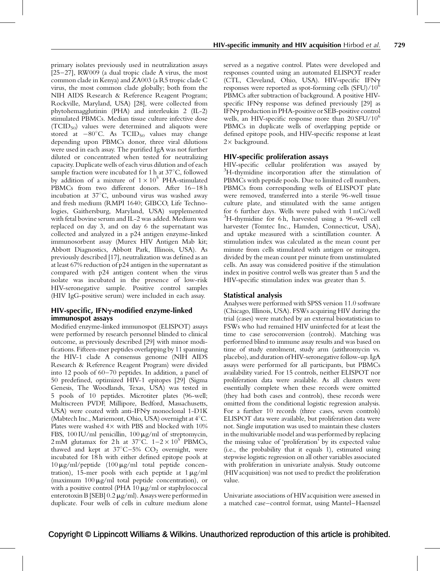primary isolates previously used in neutralization assays  $[25-27]$ , RW009 (a dual tropic clade A virus, the most common clade in Kenya) and ZA003 (a R5 tropic clade C virus, the most common clade globally; both from the NIH AIDS Research & Reference Reagent Program; Rockville, Maryland, USA) [\[28\],](#page-7-0) were collected from phytohemagglutinin (PHA) and interleukin 2 (IL-2) stimulated PBMCs. Median tissue culture infective dose (TCID50) values were determined and aliquots were stored at  $-80^{\circ}$ C. As  $TCID_{50}$  values may change depending upon PBMCs donor, three viral dilutions were used in each assay. The purified IgA was not further diluted or concentrated when tested for neutralizing capacity. Duplicate wells of each virus dilution and of each sample fraction were incubated for 1 h at  $37^{\circ}$ C, followed by addition of a mixture of  $1 \times 10^5$  PHA-stimulated PBMCs from two different donors. After 16–18 h incubation at  $37^{\circ}$ C, unbound virus was washed away and fresh medium (RMPI 1640; GIBCO, Life Technologies, Gaithersburg, Maryland, USA) supplemented with fetal bovine serum and IL-2 was added. Medium was replaced on day 3, and on day 6 the supernatant was collected and analyzed in a p24 antigen enzyme-linked immunosorbent assay (Murex HIV Antigen Mab kit; Abbott Diagnostics, Abbott Park, Illinois, USA). As previously described [\[17\],](#page-7-0) neutralization was defined as an at least 67% reduction of p24 antigen in the supernatant as compared with p24 antigen content when the virus isolate was incubated in the presence of low-risk HIV-seronegative sample. Positive control samples (HIV IgG-positive serum) were included in each assay.

## HIV-specific, IFN*g*-modified enzyme-linked immunospot assays

Modified enzyme-linked immunospot (ELISPOT) assays were performed by research personnel blinded to clinical outcome, as previously described [\[29\]](#page-7-0) with minor modifications. Fifteen-mer peptides overlapping by 11 spanning the HIV-1 clade A consensus genome (NIH AIDS Research & Reference Reagent Program) were divided into 12 pools of 60–70 peptides. In addition, a panel of 50 predefined, optimized HIV-1 epitopes [\[29\]](#page-7-0) (Sigma Genesis, The Woodlands, Texas, USA) was tested in 5 pools of 10 peptides. Microtiter plates (96-well; Multiscreen PVDF, Millipore, Bedford, Massachusetts, USA) were coated with anti-IFNy monoclonal 1-D1K (Mabtech Inc., Mariemont, Ohio, USA) overnight at  $4^{\circ}$ C. Plates were washed  $4 \times$  with PBS and blocked with 10% FBS, 100 IU/ml penicillin, 100  $\mu$ g/ml of streptomycin, 2 mM glutamax for 2 h at  $37^{\circ}$ C.  $1-2 \times 10^{5}$  PBMCs, thawed and kept at  $37^{\circ}$ C–5% CO<sub>2</sub> overnight, were incubated for 18 h with either defined epitope pools at  $10 \mu g/ml$ /peptide  $(100 \mu g/ml$  total peptide concentration), 15-mer pools with each peptide at  $1 \mu g/ml$ (maximum  $100 \mu g/ml$  total peptide concentration), or with a positive control (PHA  $10 \mu g/ml$  or staphylococcal enterotoxin B [SEB]  $0.2 \mu$ g/ml). Assays were performed in duplicate. Four wells of cells in culture medium alone

served as a negative control. Plates were developed and responses counted using an automated ELISPOT reader (CTL, Cleveland, Ohio, USA). HIV-specific IFNg responses were reported as spot-forming cells  $(SFU)/10^6$ PBMCs after subtraction of background. A positive HIVspecific IFN $\gamma$  response was defined previously [\[29\]](#page-7-0) as IFNg production in PHA-positive or SEB-positive control wells, an HIV-specific response more than  $20 SFU/10^6$ PBMCs in duplicate wells of overlapping peptide or defined epitope pools, and HIV-specific response at least  $2 \times$  background.

# HIV-specific proliferation assays

HIV-specific cellular proliferation was assayed by <sup>3</sup>H-thymidine incorporation after the stimulation of PBMCs with peptide pools. Due to limited cell numbers, PBMCs from corresponding wells of ELISPOT plate were removed, transferred into a sterile 96-well tissue culture plate, and stimulated with the same antigen for 6 further days. Wells were pulsed with 1 mCi/well 3 H-thymidine for 6 h, harvested using a 96-well cell harvester (Tomtec Inc., Hamden, Connecticut, USA), and uptake measured with a scintillation counter. A stimulation index was calculated as the mean count per minute from cells stimulated with antigen or mitogen, divided by the mean count per minute from unstimulated cells. An assay was considered positive if the stimulation index in positive control wells was greater than 5 and the HIV-specific stimulation index was greater than 5.

# Statistical analysis

Analyses were performed with SPSS version 11.0 software (Chicago, Illinois, USA). FSWs acquiring HIV during the trial (cases) were matched by an external biostatistician to FSWs who had remained HIV uninfected for at least the time to case seroconversion (controls). Matching was performed blind to immune assay results and was based on time of study enrolment, study arm (azithromycin vs. placebo), and duration of HIV-seronegative follow-up. IgA assays were performed for all participants, but PBMCs availability varied. For 15 controls, neither ELISPOT nor proliferation data were available. As all clusters were essentially complete when these records were omitted (they had both cases and controls), these records were omitted from the conditional logistic regression analysis. For a further 10 records (three cases, seven controls) ELISPOT data were available, but proliferation data were not. Single imputation was used to maintain these clusters in the multivariable model and was performed by replacing the missing value of 'proliferation' by its expected value (i.e., the probability that it equals 1), estimated using stepwise logistic regression on all other variables associated with proliferation in univariate analysis. Study outcome (HIVacquisition) was not used to predict the proliferation value.

Univariate associations of HIVacquisition were assessed in a matched case–control format, using Mantel–Haenszel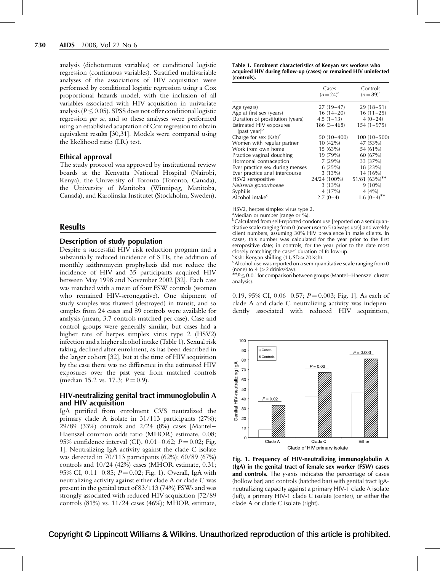analysis (dichotomous variables) or conditional logistic regression (continuous variables). Stratified multivariable analyses of the associations of HIV acquisition were performed by conditional logistic regression using a Cox proportional hazards model, with the inclusion of all variables associated with HIV acquisition in univariate analysis ( $P \leq 0.05$ ). SPSS does not offer conditional logistic regression per se, and so these analyses were performed using an established adaptation of Cox regression to obtain equivalent results [\[30,31\]](#page-7-0). Models were compared using the likelihood ratio (LR) test.

## Ethical approval

The study protocol was approved by institutional review boards at the Kenyatta National Hospital (Nairobi, Kenya), the University of Toronto (Toronto, Canada), the University of Manitoba (Winnipeg, Manitoba, Canada), and Karolinska Institutet (Stockholm, Sweden).

## **Results**

## Description of study population

Despite a successful HIV risk reduction program and a substantially reduced incidence of STIs, the addition of monthly azithromycin prophylaxis did not reduce the incidence of HIV and 35 participants acquired HIV between May 1998 and November 2002 [\[32\].](#page-7-0) Each case was matched with a mean of four FSW controls (women who remained HIV-seronegative). One shipment of study samples was thawed (destroyed) in transit, and so samples from 24 cases and 89 controls were available for analysis (mean, 3.7 controls matched per case). Case and control groups were generally similar, but cases had a higher rate of herpes simplex virus type 2 (HSV2) infection and a higher alcohol intake (Table 1). Sexual risk taking declined after enrolment, as has been described in the larger cohort [\[32\]](#page-7-0), but at the time of HIV acquisition by the case there was no difference in the estimated HIV exposures over the past year from matched controls (median 15.2 vs. 17.3;  $P = 0.9$ ).

## HIV-neutralizing genital tract immunoglobulin A and HIV acquisition

IgA purified from enrolment CVS neutralized the primary clade A isolate in 31/113 participants (27%); 29/89 (33%) controls and 2/24 (8%) cases [Mantel– Haenszel common odds ratio (MHOR) estimate, 0.08; 95% confidence interval (CI),  $0.01 - 0.62$ ;  $P = 0.02$ ; Fig. 1]. Neutralizing IgA activity against the clade C isolate was detected in 70/113 participants (62%); 60/89 (67%) controls and 10/24 (42%) cases (MHOR estimate, 0.31; 95% CI,  $0.11-0.85$ ;  $P = 0.02$ ; Fig. 1). Overall, IgA with neutralizing activity against either clade A or clade C was present in the genital tract of 83/113 (74%) FSWs and was strongly associated with reduced HIV acquisition [72/89 controls (81%) vs. 11/24 cases (46%); MHOR estimate, Table 1. Enrolment characteristics of Kenyan sex workers who acquired HIV during follow-up (cases) or remained HIV uninfected (controls).

|                                            | Cases<br>$(n=24)^{a}$ | Controls<br>$(n=89)^{a}$ |
|--------------------------------------------|-----------------------|--------------------------|
| Age (years)                                | $27(19-47)$           | $29(18-51)$              |
| Age at first sex (years)                   | $16(14-20)$           | $16(11-25)$              |
| Duration of prostitution (years)           | $4.5(1-13)$           | $4(0-24)$                |
| Estimated HIV exposures<br>$(past year)^b$ | 186 (3–468)           | $154(1 - 975)$           |
| Charge for sex $(Ksh)^c$                   | 50 (10 – 400)         | $100(10 - 500)$          |
| Women with regular partner                 | $10(42\%)$            | 47 (53%)                 |
| Work from own home                         | 15(63%)               | 54 (61%)                 |
| Practice vaginal douching                  | 19 (79%)              | 60(67%)                  |
| Hormonal contraception                     | 7(29%)                | 33 (37%)                 |
| Ever practice sex during menses            | 6(25%)                | 18 (23%)                 |
| Ever practice anal intercourse             | $3(13\%)$             | 14 (16%)                 |
| HSV2 seropositive                          | 24/24 (100%)          | $51/81~(63\%)$ **        |
| Neisseria gonorrhoeae                      | 3(13%)                | $9(10\%)$                |
| Syphilis                                   | 4 (17%)               | $4(4\%)$                 |
| Alcohol intake <sup>d</sup>                | $2.7(0-4)$            | $1.6~(0-4)$ **           |

HSV2, herpes simplex virus type 2.

<sup>a</sup>Median or number (range or %).

<sup>b</sup>Calculated from self-reported condom use [reported on a semiquantitative scale ranging from 0 (never use) to 5 (always use)] and weekly client numbers, assuming 30% HIV prevalence in male clients. In cases, this number was calculated for the year prior to the first seropositive date; in controls, for the year prior to the date most closely matching the cases' duration of follow-up.

 $\frac{c}{d}$ Ksh: Kenyan shilling (1 USD  $\approx$  70 Ksh).

<sup>d</sup>Alcohol use was reported on a semiquantitative scale ranging from 0 (none) to 4 ( $>$  2 drinks/day).

 $A^{*}P \leq 0.01$  for comparison between groups (Mantel–Haenszel cluster analysis).

0.19, 95% CI, 0.06–0.57;  $P = 0.003$ ; Fig. 1]. As each of clade A and clade C neutralizing activity was independently associated with reduced HIV acquisition,



Fig. 1. Frequency of HIV-neutralizing immunoglobulin A (IgA) in the genital tract of female sex worker (FSW) cases and controls. The  $y$ -axis indicates the percentage of cases (hollow bar) and controls (hatched bar) with genital tract IgAneutralizing capacity against a primary HIV-1 clade A isolate (left), a primary HIV-1 clade C isolate (center), or either the clade A or clade C isolate (right).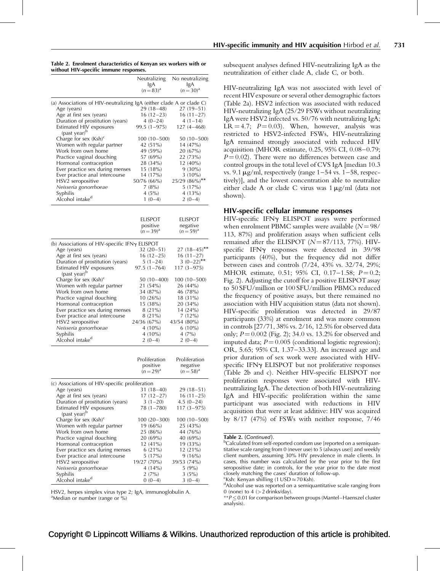| Table 2. Enrolment characteristics of Kenyan sex workers with or |
|------------------------------------------------------------------|
| without HIV-specific immune responses.                           |

|                                                                      | Neutralizing               | No neutralizing               |
|----------------------------------------------------------------------|----------------------------|-------------------------------|
|                                                                      | IgA                        | IgA                           |
|                                                                      | $(n=83)^{a}$               | $(n=30)^{a}$                  |
| (a) Associations of HIV-neutralizing IgA (either clade A or clade C) |                            |                               |
| Age (years)                                                          | $29(18-48)$                | $27(19-51)$                   |
| Age at first sex (years)                                             | $16(12-23)$                | $16(11-27)$                   |
| Duration of prostitution (years)                                     | $4(0-24)$                  | $4(1-14)$                     |
| Estimated HIV exposures                                              | 99.5 (1–975)               | $127(4 - 468)$                |
| (past year) <sup>b</sup>                                             |                            |                               |
| Charge for sex $(Ksh)^c$                                             | $100(10-500)$              | 50 (10–500)                   |
| Women with regular partner                                           | 42 (51%)                   | 14 (47%)                      |
| Work from own home                                                   | 49 (59%)                   | 20 (67%)                      |
| Practice vaginal douching                                            | 57 (69%)                   | 22 (73%)                      |
| Hormonal contraception                                               | 28 (34%)                   | $12(40\%)$                    |
| Ever practice sex during menses                                      | 15 (18%)                   | $9(30\%)$                     |
| Ever practice anal intercourse                                       | 14 (17%)                   | $3(10\%)$                     |
| HSV2 seropositive                                                    | 50/76 (66%)                | 25/29 (86%)**                 |
| Neisseria gonorrhoeae                                                | 7(8%)                      | 5(17%)                        |
| Syphilis<br>Alcohol intake <sup>d</sup>                              | 4(5%)                      | 4 (13%)                       |
|                                                                      | $1(0-4)$                   | $2(0-4)$                      |
|                                                                      |                            |                               |
|                                                                      | ELISPOT                    | ELISPOT                       |
|                                                                      | positive                   | negative                      |
|                                                                      | $(n=39)^{a}$               | $(n=59)^{a}$                  |
|                                                                      |                            |                               |
| (b) Associations of HIV-specific IFNy ELISPOT                        |                            |                               |
| Age (years)<br>Age at first sex (years)                              | $32(20-51)$<br>$16(12-25)$ | $27(18-45)$ **<br>$16(11-27)$ |
| Duration of prostitution (years)                                     | $5(1-24)$                  | 3 $(0-22)$ **                 |
| Estimated HIV exposures                                              | $97.5(1 - 764)$            | $117(3 - 975)$                |
| (past year) <sup>b</sup>                                             |                            |                               |
| Charge for sex $(Ksh)^c$                                             | 50 (10 - 400)              | $100(10-500)$                 |
| Women with regular partner                                           | 21 (54%)                   | 26 (44%)                      |
| Work from own home                                                   | 34 (87%)                   | 46 (78%)                      |
| Practice vaginal douching                                            | 10(26%)                    | 18 (31%)                      |
| Hormonal contraception                                               | 15 (38%)                   | 20 (34%)                      |
| Ever practice sex during menses                                      | 8 (21%)                    | 14 (24%)                      |
| Ever practice anal intercourse                                       | 8(21%)                     | 7(12%)                        |
| HSV2 seropositive                                                    | 24/36 (67%)                | 43/54 (80%)                   |
| Neisseria gonorrhoeae                                                | $4(10\%)$                  | $6(10\%)$                     |
| Syphilis                                                             | $4(10\%)$                  | $4(7\%)$                      |
| Alcohol intake <sup>d</sup>                                          | $2(0-4)$                   | $2(0-4)$                      |
|                                                                      |                            |                               |
|                                                                      | Proliferation              | Proliferation                 |
|                                                                      | positive                   | negative                      |
|                                                                      | $(n=29)^{a}$               | $(n=58)^{a}$                  |
| (c) Associations of HIV-specific proliferation                       |                            |                               |
| Age (years)                                                          | $31(18-40)$                | $29(18-51)$                   |
| Age at first sex (years)                                             | $17(12-27)$                | $16(11-25)$                   |
| Duration of prostitution (years)                                     | $3(1-20)$                  | $4.5(0-24)$                   |
| Estimated HIV exposures                                              | 78 (1–780)                 | $117(3 - 975)$                |
| (past year) <sup>b</sup>                                             |                            |                               |
| Charge for sex (Ksh) <sup>c</sup>                                    | 100 (20–300)               | $100(10-500)$                 |
| Women with regular partner                                           | 19 (66%)                   | 25 (43%)                      |
| Work from own home                                                   | 25 (86%)                   | 44 (76%)                      |
| Practice vaginal douching                                            | 20 (69%)                   | 40 (69%)                      |
| Hormonal contraception                                               | 12 (41%)                   | 19 (33%)                      |
| Ever practice sex during menses                                      | $6(21\%)$                  | 12 (21%)                      |
| Ever practice anal intercourse                                       | 5(17%)                     | 9(16%)                        |
| HSV2 seropositive                                                    | 19/27 (70%)                | 39/53 (74%)                   |
| Neisseria gonorrhoeae                                                | $4(14\%)$                  | 5(9%)                         |
| Syphilis                                                             | $2(7\%)$                   | 3(5%)                         |
| Alcohol intake <sup>d</sup>                                          | $0(0-4)$                   | $3(0-4)$                      |

HSV2, herpes simplex virus type 2; IgA, immunoglobulin A. <sup>a</sup>Median or number (range or %)

subsequent analyses defined HIV-neutralizing IgA as the neutralization of either clade A, clade C, or both.

HIV-neutralizing IgA was not associated with level of recent HIVexposure or several other demographic factors (Table 2a). HSV2 infection was associated with reduced HIV-neutralizing IgA (25/29 FSWs without neutralizing IgA were HSV2 infected vs. 50/76 with neutralizing IgA;  $LR = 4.7$ ;  $P = 0.03$ ). When, however, analysis was restricted to HSV2-infected FSWs, HIV-neutralizing IgA remained strongly associated with reduced HIV acquisition (MHOR estimate, 0.25, 95% CI, 0.08–0.79;  $P = 0.02$ ). There were no differences between case and control groups in the total level of CVS IgA [median 10.3 vs. 9.1  $\mu$ g/ml, respectively (range 1–54 vs. 1–58, respectively)], and the lowest concentration able to neutralize either clade A or clade C virus was  $1 \mu g/ml$  (data not shown).

# HIV-specific cellular immune responses

HIV-specific IFN $\gamma$  ELISPOT assays were performed when enrolment PBMC samples were available  $(N = 98/$ 113, 87%) and proliferation assays when sufficient cells remained after the ELISPOT  $(N = 87/113, 77%)$ . HIVspecific IFNy responses were detected in 39/98 participants (40%), but the frequency did not differ between cases and controls (7/24, 43% vs. 32/74, 29%; MHOR estimate, 0.51; 95% CI, 0.17-1.58;  $P=0.2$ ; [Fig. 2](#page-5-0)). Adjusting the cutoff for a positive ELISPOTassay to 50 SFU/million or 100 SFU/million PBMCs reduced the frequency of positive assays, but there remained no association with HIV acquisition status (data not shown). HIV-specific proliferation was detected in 29/87 participants (33%) at enrolment and was more common in controls [27/71, 38% vs. 2/16, 12.5% for observed data only;  $P = 0.002$  ([Fig. 2\)](#page-5-0); 34.0 vs. 13.2% for observed and imputed data;  $P = 0.005$  (conditional logistic regression); OR, 5.65; 95% CI, 1.37–33.33]. An increased age and prior duration of sex work were associated with HIVspecific IFN $\gamma$  ELISPOT but not proliferative responses (Table 2b and c). Neither HIV-specific ELISPOT nor proliferation responses were associated with HIVneutralizing IgA. The detection of both HIV-neutralizing IgA and HIV-specific proliferation within the same participant was associated with reductions in HIV acquisition that were at least additive: HIV was acquired by 8/17 (47%) of FSWs with neither response, 7/46

<sup>b</sup>Calculated from self-reported condom use [reported on a semiquantitative scale ranging from 0 (never use) to 5 (always use)] and weekly client numbers, assuming 30% HIV prevalence in male clients. In cases, this number was calculated for the year prior to the first seropositive date; in controls, for the year prior to the date most closely matching the cases' duration of follow-up.  $\frac{c}{d}$ Ksh: Kenyan shilling (1 USD  $\approx$  70 Ksh).

<sup>d</sup>Alcohol use was reported on a semiquantitative scale ranging from 0 (none) to 4 (> 2 drinks/day).

 $* p < 0.01$  for comparison between groups (Mantel–Haenszel cluster analysis).

Table 2. (Continued).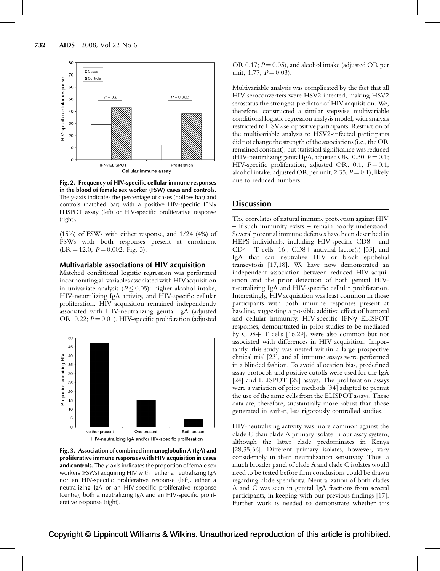<span id="page-5-0"></span>

Fig. 2. Frequency of HIV-specific cellular immune responses in the blood of female sex worker (FSW) cases and controls. The y-axis indicates the percentage of cases (hollow bar) and controls (hatched bar) with a positive HIV-specific IFN $\gamma$ ELISPOT assay (left) or HIV-specific proliferative response (right).

(15%) of FSWs with either response, and 1/24 (4%) of FSWs with both responses present at enrolment  $(LR = 12.0; P = 0.002; Fig. 3).$ 

### Multivariable associations of HIV acquisition

Matched conditional logistic regression was performed incorporating all variables associated with HIVacquisition in univariate analysis ( $P \leq 0.05$ ): higher alcohol intake, HIV-neutralizing IgA activity, and HIV-specific cellular proliferation. HIV acquisition remained independently associated with HIV-neutralizing genital IgA (adjusted OR, 0.22;  $P = 0.01$ ), HIV-specific proliferation (adjusted



Fig. 3. Association of combined immunoglobulin A (IgA) and proliferative immune responses with HIV acquisition in cases and controls. The  $y$ -axis indicates the proportion of female sex workers (FSWs) acquiring HIV with neither a neutralizing IgA nor an HIV-specific proliferative response (left), either a neutralizing IgA or an HIV-specific proliferative response (centre), both a neutralizing IgA and an HIV-specific proliferative response (right).

OR 0.17;  $P = 0.05$ ), and alcohol intake (adjusted OR per unit, 1.77;  $P = 0.03$ ).

Multivariable analysis was complicated by the fact that all HIV seroconverters were HSV2 infected, making HSV2 serostatus the strongest predictor of HIV acquisition. We, therefore, constructed a similar stepwise multivariable conditional logistic regression analysis model, with analysis restricted to HSV2 seropositive participants. Restriction of the multivariable analysis to HSV2-infected participants did not change the strength of the associations (i.e., the OR remained constant), but statistical significance was reduced (HIV-neutralizing genital IgA, adjusted OR, 0.30,  $P = 0.1$ ; HIV-specific proliferation, adjusted OR, 0.1,  $P = 0.1$ ; alcohol intake, adjusted OR per unit, 2.35,  $P = 0.1$ ), likely due to reduced numbers.

## **Discussion**

The correlates of natural immune protection against HIV – if such immunity exists – remain poorly understood. Several potential immune defenses have been described in HEPS individuals, including HIV-specific  $CD8+$  and CD4+ T cells [\[16\]](#page-7-0), CD8+ antiviral factor(s) [\[33\]](#page-7-0), and IgA that can neutralize HIV or block epithelial transcytosis [\[17,18\].](#page-7-0) We have now demonstrated an independent association between reduced HIV acquisition and the prior detection of both genital HIVneutralizing IgA and HIV-specific cellular proliferation. Interestingly, HIV acquisition was least common in those participants with both immune responses present at baseline, suggesting a possible additive effect of humoral and cellular immunity. HIV-specific IFNy ELISPOT responses, demonstrated in prior studies to be mediated by  $CD8+T$  cells [\[16,29\]](#page-7-0), were also common but not associated with differences in HIV acquisition. Importantly, this study was nested within a large prospective clinical trial [\[23\],](#page-7-0) and all immune assays were performed in a blinded fashion. To avoid allocation bias, predefined assay protocols and positive cutoffs were used for the IgA [\[24\]](#page-7-0) and ELISPOT [\[29\]](#page-7-0) assays. The proliferation assays were a variation of prior methods [\[34\]](#page-7-0) adapted to permit the use of the same cells from the ELISPOT assays. These data are, therefore, substantially more robust than those generated in earlier, less rigorously controlled studies.

HIV-neutralizing activity was more common against the clade C than clade A primary isolate in our assay system, although the latter clade predominates in Kenya [\[28,35,36\]](#page-7-0). Different primary isolates, however, vary considerably in their neutralization sensitivity. Thus, a much broader panel of clade A and clade C isolates would need to be tested before firm conclusions could be drawn regarding clade specificity. Neutralization of both clades A and C was seen in genital IgA fractions from several participants, in keeping with our previous findings [\[17\]](#page-7-0). Further work is needed to demonstrate whether this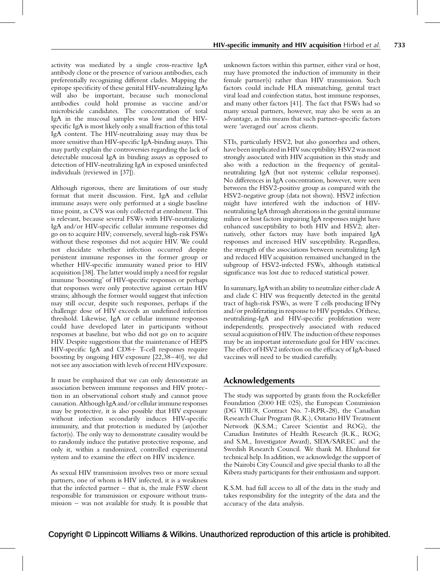activity was mediated by a single cross-reactive IgA antibody clone or the presence of various antibodies, each preferentially recognizing different clades. Mapping the epitope specificity of these genital HIV-neutralizing IgAs will also be important, because such monoclonal antibodies could hold promise as vaccine and/or microbicide candidates. The concentration of total IgA in the mucosal samples was low and the HIVspecific IgA is most likely only a small fraction of this total IgA content. The HIV-neutralizing assay may thus be more sensitive than HIV-specific IgA-binding assays. This may partly explain the controversies regarding the lack of detectable mucosal IgA in binding assays as opposed to detection of HIV-neutralizing IgA in exposed uninfected individuals (reviewed in [\[37\]\)](#page-8-0).

Although rigorous, there are limitations of our study format that merit discussion. First, IgA and cellular immune assays were only performed at a single baseline time point, as CVS was only collected at enrolment. This is relevant, because several FSWs with HIV-neutralizing IgA and/or HIV-specific cellular immune responses did go on to acquire HIV; conversely, several high-risk FSWs without these responses did not acquire HIV. We could not elucidate whether infection occurred despite persistent immune responses in the former group or whether HIV-specific immunity waned prior to HIV acquisition [\[38\].](#page-8-0) The latter would imply a need for regular immune 'boosting' of HIV-specific responses or perhaps that responses were only protective against certain HIV strains; although the former would suggest that infection may still occur, despite such responses, perhaps if the challenge dose of HIV exceeds an undefined infection threshold. Likewise, IgA or cellular immune responses could have developed later in participants without responses at baseline, but who did not go on to acquire HIV. Despite suggestions that the maintenance of HEPS HIV-specific IgA and  $CD8+$  T-cell responses require boosting by ongoing HIV exposure [\[22,38–40\],](#page-7-0) we did not see any association with levels of recent HIVexposure.

It must be emphasized that we can only demonstrate an association between immune responses and HIV protection in an observational cohort study and cannot prove causation. Although IgA and/or cellular immune responses may be protective, it is also possible that HIV exposure without infection secondarily induces HIV-specific immunity, and that protection is mediated by (an)other factor(s). The only way to demonstrate causality would be to randomly induce the putative protective response, and only it, within a randomized, controlled experimental system and to examine the effect on HIV incidence.

As sexual HIV transmission involves two or more sexual partners, one of whom is HIV infected, it is a weakness that the infected partner  $-$  that is, the male FSW client responsible for transmission or exposure without transmission – was not available for study. It is possible that

unknown factors within this partner, either viral or host, may have promoted the induction of immunity in their female partner(s) rather than HIV transmission. Such factors could include HLA mismatching, genital tract viral load and coinfection status, host immune responses, and many other factors [\[41\]](#page-8-0). The fact that FSWs had so many sexual partners, however, may also be seen as an advantage, as this means that such partner-specific factors were 'averaged out' across clients.

STIs, particularly HSV2, but also gonorrhea and others, have been implicated in HIV susceptibility. HSV2 was most strongly associated with HIV acquisition in this study and also with a reduction in the frequency of genitalneutralizing IgA (but not systemic cellular responses). No differences in IgA concentration, however, were seen between the HSV2-positive group as compared with the HSV2-negative group (data not shown). HSV2 infection might have interfered with the induction of HIVneutralizing IgA through alterations in the genital immune milieu or host factors impairing IgA responses might have enhanced susceptibility to both HIV and HSV2; alternatively, other factors may have both impaired IgA responses and increased HIV susceptibility. Regardless, the strength of the associations between neutralizing IgA and reduced HIV acquisition remained unchanged in the subgroup of HSV2-infected FSWs, although statistical significance was lost due to reduced statistical power.

In summary, IgAwith an ability to neutralize either clade A and clade C HIV was frequently detected in the genital tract of high-risk FSWs, as were T cells producing IFNg and/or proliferating in response to HIV peptides. Of these, neutralizing-IgA and HIV-specific proliferation were independently, prospectively associated with reduced sexual acquisition of HIV. The induction of these responses may be an important intermediate goal for HIV vaccines. The effect of HSV2 infection on the efficacy of IgA-based vaccines will need to be studied carefully.

# Acknowledgements

The study was supported by grants from the Rockefeller Foundation (2000 HE 025), the European Commission (DG VIII/8, Contract No. 7-RPR-28), the Canadian Research Chair Program (R.K.), Ontario HIV Treatment Network (K.S.M.; Career Scientist and ROG), the Canadian Institutes of Health Research (R.K., ROG; and S.M., Investigator Award), SIDA/SAREC and the Swedish Research Council. We thank M. Ehnlund for technical help. In addition, we acknowledge the support of the Nairobi City Council and give special thanks to all the Kibera study participants for their enthusiasm and support.

K.S.M. had full access to all of the data in the study and takes responsibility for the integrity of the data and the accuracy of the data analysis.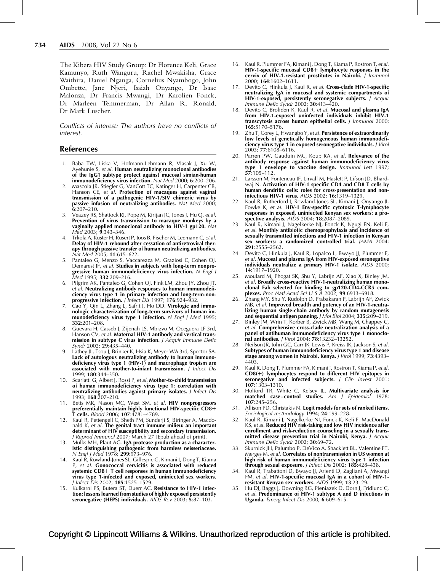<span id="page-7-0"></span>The Kibera HIV Study Group: Dr Florence Keli, Grace Kamunyo, Ruth Wanguru, Rachel Mwakisha, Grace Waithira, Daniel Nganga, Cornelius Nyambogo, John Ombette, Jane Njeri, Isaiah Onyango, Dr Isaac Malonza, Dr Francis Mwangi, Dr Karolien Fonck, Dr Marleen Temmerman, Dr Allan R. Ronald, Dr Mark Luscher.

Conflicts of interest: The authors have no conflicts of interest.

### References

- 1. Baba TW, Liska V, Hofmann-Lehmann R, Vlasak J, Xu W, Ayehunie S, et al. Human neutralizing monoclonal antibodies of the IgG1 subtype protect against mucosal simian-human immunodeficiency virus infection. Nat Med 2000; 6:200-206.
- 2. Mascola JR, Stiegler G, VanCott TC, Katinger H, Carpenter CB, Hanson CE, et al. Protection of macaques against vaginal transmission of a pathogenic HIV-1/SIV chimeric virus by passive infusion of neutralizing antibodies. Nat Med 2000;  $6:207 - 210$ .
- Veazey RS, Shattock RJ, Pope M, Kirijan JC, Jones J, Hu Q, et al. Prevention of virus transmission to macaque monkeys by a vaginally applied monoclonal antibody to  $HIV-1$  gp120. Nat  $Med$  2003; 9:343–346.
- Trkola A, Kuster H, Rusert P, Joos B, Fischer M, Leemann C, et al. Delay of HIV-1 rebound after cessation of antiretroviral therapy through passive transfer of human neutralizing antibodies. Nat Med 2005; 11:615–622.
- 5. Pantaleo G, Menzo S, Vaccarezza M, Graziosi C, Cohen OJ, Demarest JF, et al. Studies in subjects with long-term nonprogressive human immunodeficiency virus infection.  $N$  Engl J Med 1995; 332:209–216.
- 6. Pilgrim AK, Pantaleo G, Cohen OJ, Fink LM, Zhou JY, Zhou JT, et al. Neutralizing antibody responses to human immunodeficiency virus type 1 in primary infection and long-term-nonprogressive infection. J Infect Dis 1997; 176:924–932.
- Cao Y, Qin L, Zhang L, Safrit J, Ho DD. Virologic and immunologic characterization of long-term survivors of human immunodeficiency virus type 1 infection.  $N$  Engl J Med 1995; 332:201–208.
- 8. Guevara H, Casseb J, Zijenah LS, Mbizvo M, Oceguera LF 3rd, Hanson CV, et al. Maternal HIV-1 antibody and vertical transmission in subtype C virus infection. J Acquir Immune Defic Syndr 2002; 29:435–440.
- Lathey JL, Tsou J, Brinker K, Hsia K, Meyer WA 3rd, Spector SA. Lack of autologous neutralizing antibody to human immunodeficiency virus type 1 (HIV-1) and macrophage tropism are associated with mother-to-infant transmission. J Infect Dis 1999; 180:344–350.
- 10. Scarlatti G, Albert J, Rossi P, et al. Mother-to-child transmission of human immunodeficiency virus type 1: correlation with neutralizing antibodies against primary isolates. *J Infect Dis* 1993; 168:207–210.
- 11. Betts MR, Nason MC, West SM, et al. HIV nonprogressors preferentially maintain highly functional HIV-specific CD8+ T cells. Blood 2006; 107:4781–4789.
- 12. Kaul R, Pettengell C, Sheth PM, Sunderji S, Biringer A, Macdonald K, et al. The genital tract immune milieu: an important determinant of HIV susceptibility and secondary transmission. J Reprod Immunol 2007; March 27 [Epub ahead of print].
- 13. Mulks MH, Plaut AG. IgA protease production as a characteristic distinguishing pathogenic from harmless neisseriaceae. N Engl J Med 1978; 299:973–976.
- 14. Kaul R, Rowland-Jones SL, Gillespie G, Kimani J, Dong T, Kiama P, et al. Gonococcal cervicitis is associated with reduced systemic CD8+ T cell responses in human immunodeficiency virus type 1-infected and exposed, uninfected sex workers. J Infect Dis 2002; 185:1525–1529.
- 15. Kulkarni PS, Butera ST, Duerr AC. Resistance to HIV-1 infection: lessons learned from studies of highly exposed persistently seronegative (HEPS) individuals.  $AID\bar{S}$  Rev 2003; 5:87-103.
- 16. Kaul R, Plummer FA, Kimani J, Dong T, Kiama P, Rostron T, et al. HIV-1-specific mucosal CD8+ lymphocyte responses in the cervix of HIV-1-resistant prostitutes in Nairobi. J Immunol 2000; 164:1602–1611.
- 17. Devito C, Hinkula J, Kaul R, et al. Cross-clade HIV-1-specific neutralizing IgA in mucosal and systemic compartments of HIV-1-exposed, persistently seronegative subjects. J Acquir Immune Defic Syndr 2002; 30:413–420.
- 18. Devito C, Broliden K, Kaul R, et al. Mucosal and plasma IgA from HIV-1-exposed uninfected individuals inhibit HIV-1 transcytosis across human epithelial cells. J Immunol 2000; 165:5170–5176.
- 19. Zhu T, Corey L, Hwangbo Y, et al. Persistence of extraordinarily low levels of genetically homogeneous human immunodeficiency virus type 1 in exposed seronegative individuals. *I Virol* 2003; 77:6108–6116.
- 20. Parren PW, Gauduin MC, Koup RA, et al. Relevance of the antibody response against human immunodeficiency virus type 1 envelope to vaccine design. Immunol Lett 1997; 57:105–112.
- 21. Larsson M, Fonteneau JF, Lirvall M, Haslett P, Lifson JD, Bhardwaj N. Activation of HIV-1 specific CD4 and CD8 T cells by human dendritic cells: roles for cross-presentation and noninfectious HIV-1 virus. AIDS 2002; 16:1319–1329.
- 22. Kaul R, Rutherford J, Rowland-Jones SL, Kimani J, Onyango II, Fowke K, et al. **HIV-1 Env-specific cytotoxic T-lymphocyte** responses in exposed, uninfected Kenyan sex workers: a prospective analysis. AIDS 2004; 18:2087–2089.
- 23. Kaul R, Kimani J, Nagelkerke NJ, Fonck K, Ngugi EN, Keli F, et al. Monthly antibiotic chemoprophylaxis and incidence of sexually transmitted infections and HIV-1 infection in Kenyan sex workers: a randomized controlled trial. JAMA 2004; 291:2555–2562.
- 24. Devito C, Hinkula J, Kaul R, Lopalco L, Bwayo JJ, Plummer F, et al. Mucosal and plasma IgA from HIV-exposed seronegative individuals neutralize a primary HIV-1 isolate.  $AIDS$  2000: 14:1917–1920.
- 25. Moulard M, Phogat SK, Shu Y, Labrijn AF, Xiao X, Binley JM, et al. Broadly cross-reactive HIV-1-neutralizing human monoclonal Fab selected for binding to gp120-CD4-CCR5 complexes. Proc Natl Acad Sci U S A 2002; 99:6913–6918.
- 26. Zhang MY, Shu Y, Rudolph D, Prabakaran P, Labrijn AF, Zwick MB, et al. Improved breadth and potency of an HIV-1-neutralizing human single-chain antibody by random mutagenesis and sequential antigen panning. J Mol Biol 2004; 335:209-219.
- 27. Binley JM, Wrin T, Korber B, Zwick MB, Wang M, Chappey C, et al. Comprehensive cross-clade neutralization analysis of a panel of antihuman immunodeficiency virus type 1 monoclonal antibodies. J Virol 2004; 78:13232–13252.
- 28. Neilson JR, John GC, Carr JK, Lewis P, Kreiss JK, Jackson S, et al. Subtypes of human immunodeficiency virus type 1 and disease stage among women in Nairobi, Kenya. J Virol 1999; 73:4393-4403.
- 29. Kaul R, Dong T, Plummer FA, Kimani J, Rostron T, Kiama P, et al.  $CD8(+)$  lymphocytes respond to different HIV epitopes in seronegative and infected subjects. J Clin Invest 2001; 107:1303–1310.
- 30. Holford TR, White C, Kelsey JL. **Multivariate analysis for** matched case–control studies. Am J Epidemiol 1978; 107:245–256.
- 31. Allison PD, Christakis N. Logit models for sets of ranked items. Sociological methodology 1994; 24:199-228.
- 32. Kaul R, Kimani J, Nagelkerke NJ, Fonck K, Keli F, MacDonald KS, et al. Reduced HIV risk-taking and low HIV incidence after enrollment and risk-reduction counseling in a sexually transmitted disease prevention trial in Nairobi, Kenya. J Acquir Immune Defic Syndr 2002; 30:69–72.
- 33. Skurnick JH, Palumbo P, DeVico A, Shacklett BL, Valentine FT, Merges M, et al. Correlates of nontransmission in US women at high risk of human immunodeficiency virus type 1 infection through sexual exposure. J Infect Dis 2002; 185:428-438.
- 34. Kaul R, Trabattoni D, Bwayo JJ, Arienti D, Zagliani A, Mwangi FM, et al. HIV-1-specific mucosal IgA in a cohort of HIV-1 resistant Kenyan sex workers. AIDS 1999; 13:23–29.
- 35. Hu DJ, Baggs J, Downing RG, Pieniazek D, Dorn J, Fridlund C, et al. Predominance of HIV-1 subtype A and D infections in Uganda. Emerg Infect Dis 2000; 6:609–615.